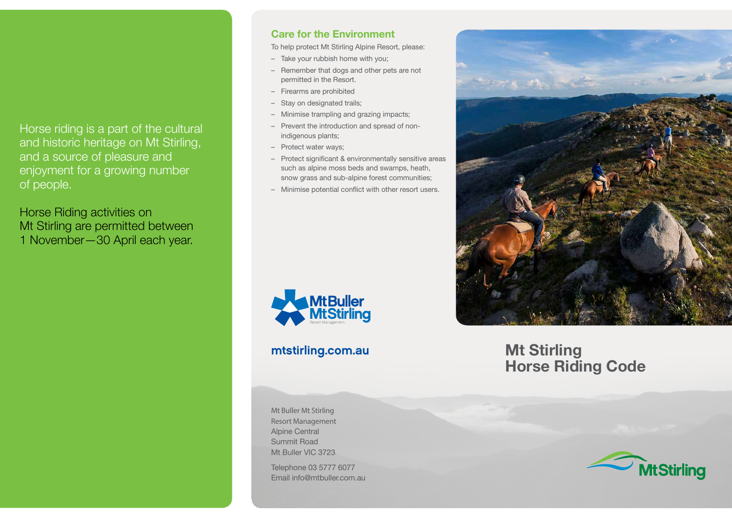# Horse riding is a part of the cultural and historic heritage on Mt Stirling, and a source of pleasure and enjoyment for a growing number of people.

Horse Riding activities on Mt Stirling are permitted between 1 November—30 April each year.

### **Care for the Environment**

To help protect Mt Stirling Alpine Resort, please:

- Take your rubbish home with you;
- Remember that dogs and other pets are not permitted in the Resort.
- Firearms are prohibited
- Stay on designated trails;
- Minimise trampling and grazing impacts;
- Prevent the introduction and spread of nonindigenous plants;
- Protect water ways;
- Protect significant & environmentally sensitive areas such as alpine moss beds and swamps, heath, snow grass and sub-alpine forest communities;
- – Minimise potential conflict with other resort users.



# mtstirling.com.au

**Mt Stirling** 

**This Phone A** 

**Horse Riding Code**

Mt Buller Mt Stirling Resort Management Alpine Central Summit Road Mt Buller VIC 3723

Telephone 03 5777 6077 Email info@mtbuller.com.au